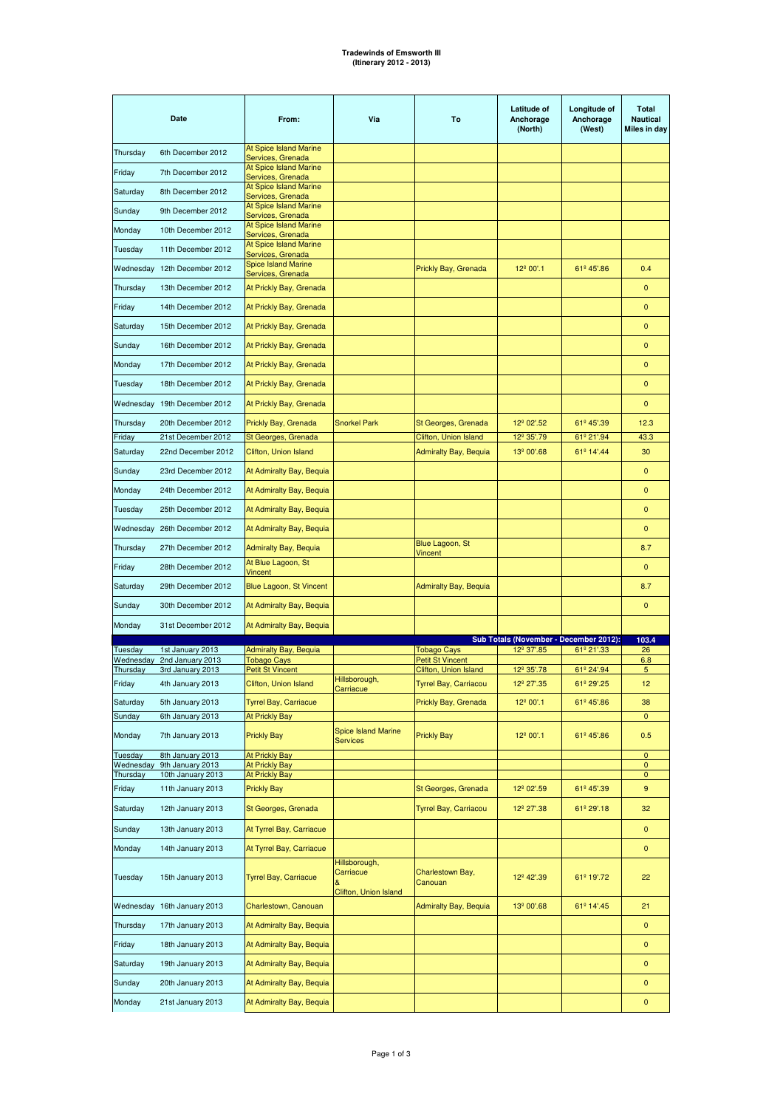| Date                  |                                       | From:                                                 | Via                                                 | To                                            | <b>Latitude of</b><br>Anchorage<br>(North) | Longitude of<br>Anchorage<br>(West) | <b>Total</b><br><b>Nautical</b><br>Miles in day |
|-----------------------|---------------------------------------|-------------------------------------------------------|-----------------------------------------------------|-----------------------------------------------|--------------------------------------------|-------------------------------------|-------------------------------------------------|
| Thursday              | 6th December 2012                     | At Spice Island Marine<br>Services, Grenada           |                                                     |                                               |                                            |                                     |                                                 |
| Friday                | 7th December 2012                     | <b>At Spice Island Marine</b>                         |                                                     |                                               |                                            |                                     |                                                 |
| Saturday              | 8th December 2012                     | Services, Grenada<br>At Spice Island Marine           |                                                     |                                               |                                            |                                     |                                                 |
| Sunday                | 9th December 2012                     | Services, Grenada<br><b>At Spice Island Marine</b>    |                                                     |                                               |                                            |                                     |                                                 |
| Monday                | 10th December 2012                    | Services, Grenada<br>At Spice Island Marine           |                                                     |                                               |                                            |                                     |                                                 |
|                       | 11th December 2012                    | Services, Grenada<br><b>At Spice Island Marine</b>    |                                                     |                                               |                                            |                                     |                                                 |
| Tuesday               |                                       | Services, Grenada<br><b>Spice Island Marine</b>       |                                                     |                                               |                                            |                                     |                                                 |
|                       | Wednesday 12th December 2012          | Services, Grenada                                     |                                                     | Prickly Bay, Grenada                          | 12º 00'.1                                  | 61º 45'.86                          | 0.4                                             |
| Thursday              | 13th December 2012                    | At Prickly Bay, Grenada                               |                                                     |                                               |                                            |                                     | $\mathbf{0}$                                    |
| Friday                | 14th December 2012                    | At Prickly Bay, Grenada                               |                                                     |                                               |                                            |                                     | $\mathbf 0$                                     |
| Saturday              | 15th December 2012                    | At Prickly Bay, Grenada                               |                                                     |                                               |                                            |                                     | $\mathbf{0}$                                    |
| Sunday                | 16th December 2012                    | At Prickly Bay, Grenada                               |                                                     |                                               |                                            |                                     | $\mathbf 0$                                     |
| Monday                | 17th December 2012                    | At Prickly Bay, Grenada                               |                                                     |                                               |                                            |                                     | 0                                               |
| Tuesday               | 18th December 2012                    | At Prickly Bay, Grenada                               |                                                     |                                               |                                            |                                     | 0                                               |
|                       | Wednesday 19th December 2012          | At Prickly Bay, Grenada                               |                                                     |                                               |                                            |                                     | 0                                               |
| Thursday              | 20th December 2012                    | Prickly Bay, Grenada                                  | <b>Snorkel Park</b>                                 | St Georges, Grenada                           | 12 <sup>°</sup> 02'.52                     | 61º 45'.39                          | 12.3                                            |
| Friday                | 21st December 2012                    | St Georges, Grenada                                   |                                                     | Clifton, Union Island                         | 12 <sup>º</sup> 35'.79                     | 61º 21'.94                          | 43.3                                            |
| Saturday              | 22nd December 2012                    | Clifton, Union Island                                 |                                                     | Admiralty Bay, Bequia                         | 13º 00'.68                                 | 61º 14'.44                          | 30                                              |
| Sunday                | 23rd December 2012                    | At Admiralty Bay, Bequia                              |                                                     |                                               |                                            |                                     | $\mathbf{0}$                                    |
| Monday                | 24th December 2012                    | At Admiralty Bay, Bequia                              |                                                     |                                               |                                            |                                     | $\mathbf 0$                                     |
| Tuesday               | 25th December 2012                    | At Admiralty Bay, Bequia                              |                                                     |                                               |                                            |                                     | 0                                               |
|                       | Wednesday 26th December 2012          | At Admiralty Bay, Bequia                              |                                                     |                                               |                                            |                                     | 0                                               |
| Thursday              | 27th December 2012                    | Admiralty Bay, Bequia                                 |                                                     | Blue Lagoon, St<br>Vincent                    |                                            |                                     | 8.7                                             |
| Friday                | 28th December 2012                    | At Blue Lagoon, St<br>Vincent                         |                                                     |                                               |                                            |                                     | 0                                               |
| Saturday              | 29th December 2012                    | Blue Lagoon, St Vincent                               |                                                     | <b>Admiralty Bay, Bequia</b>                  |                                            |                                     | 8.7                                             |
| Sunday                | 30th December 2012                    | At Admiralty Bay, Bequia                              |                                                     |                                               |                                            |                                     | 0                                               |
| Monday                | 31st December 2012                    | At Admiralty Bay, Bequia                              |                                                     |                                               |                                            |                                     |                                                 |
|                       |                                       |                                                       |                                                     |                                               | Sub Totals (November - December 2012):     |                                     | 103.4                                           |
| Tuesday<br>Wednesday  | 1st January 2013<br>2nd January 2013  | <b>Admiralty Bay, Bequia</b><br>Tobago Cays           |                                                     | <b>Tobago Cays</b><br><b>Petit St Vincent</b> | 12 <sup>º</sup> 37'.85                     | 61º 21'.33                          | 26<br>6.8                                       |
| Thursday              | 3rd January 2013                      | <b>Petit St Vincent</b>                               | Hillsborough,                                       | Clifton, Union Island                         | 12 <sup>°</sup> 35'.78                     | 61º 24'.94                          | 5                                               |
| Friday                | 4th January 2013                      | Clifton, Union Island                                 | Carriacue                                           | Tyrrel Bay, Carriacou                         | 12 <sup>º</sup> 27'.35                     | 61º 29'.25                          | 12                                              |
| Saturday<br>Sunday    | 5th January 2013<br>6th January 2013  | <b>Tyrrel Bay, Carriacue</b><br><b>At Prickly Bay</b> |                                                     | Prickly Bay, Grenada                          | 12 <sup>º</sup> 00'.1                      | 61º 45'.86                          | 38<br>0                                         |
| Monday                | 7th January 2013                      | <b>Prickly Bay</b>                                    | <b>Spice Island Marine</b><br><b>Services</b>       | <b>Prickly Bay</b>                            | 12º 00'.1                                  | 61º 45'.86                          | 0.5                                             |
| Tuesday               | 8th January 2013                      | <b>At Prickly Bay</b>                                 |                                                     |                                               |                                            |                                     | $\mathbf 0$                                     |
| Wednesday<br>Thursday | 9th January 2013<br>10th January 2013 | <b>At Prickly Bay</b><br>At Prickly Bay               |                                                     |                                               |                                            |                                     | $\mathbf 0$<br>0                                |
| Friday                | 11th January 2013                     | <b>Prickly Bay</b>                                    |                                                     | St Georges, Grenada                           | 12 <sup>º</sup> 02'.59                     | 61º 45'.39                          | 9                                               |
| Saturday              | 12th January 2013                     | St Georges, Grenada                                   |                                                     | Tyrrel Bay, Carriacou                         | 12 <sup>°</sup> 27'.38                     | 61º 29'.18                          | 32                                              |
| Sunday                | 13th January 2013                     | At Tyrrel Bay, Carriacue                              |                                                     |                                               |                                            |                                     | 0                                               |
| Monday                | 14th January 2013                     | At Tyrrel Bay, Carriacue                              |                                                     |                                               |                                            |                                     | 0                                               |
| Tuesday               | 15th January 2013                     | <b>Tyrrel Bay, Carriacue</b>                          | Hillsborough,<br>Carriacue<br>Clifton, Union Island | Charlestown Bay,<br>Canouan                   | 12 <sup>º</sup> 42'.39                     | 61º 19'.72                          | 22                                              |
|                       | Wednesday 16th January 2013           | Charlestown, Canouan                                  |                                                     | <b>Admiralty Bay, Bequia</b>                  | 13 <sup>°</sup> 00'.68                     | 61º 14'.45                          | 21                                              |
| Thursday              | 17th January 2013                     | At Admiralty Bay, Bequia                              |                                                     |                                               |                                            |                                     | 0                                               |
| Friday                | 18th January 2013                     | At Admiralty Bay, Bequia                              |                                                     |                                               |                                            |                                     | 0                                               |
| Saturday              | 19th January 2013                     | At Admiralty Bay, Bequia                              |                                                     |                                               |                                            |                                     | 0                                               |
| Sunday                | 20th January 2013                     | At Admiralty Bay, Bequia                              |                                                     |                                               |                                            |                                     | 0                                               |
| Monday                | 21st January 2013                     | At Admiralty Bay, Bequia                              |                                                     |                                               |                                            |                                     | $\pmb{0}$                                       |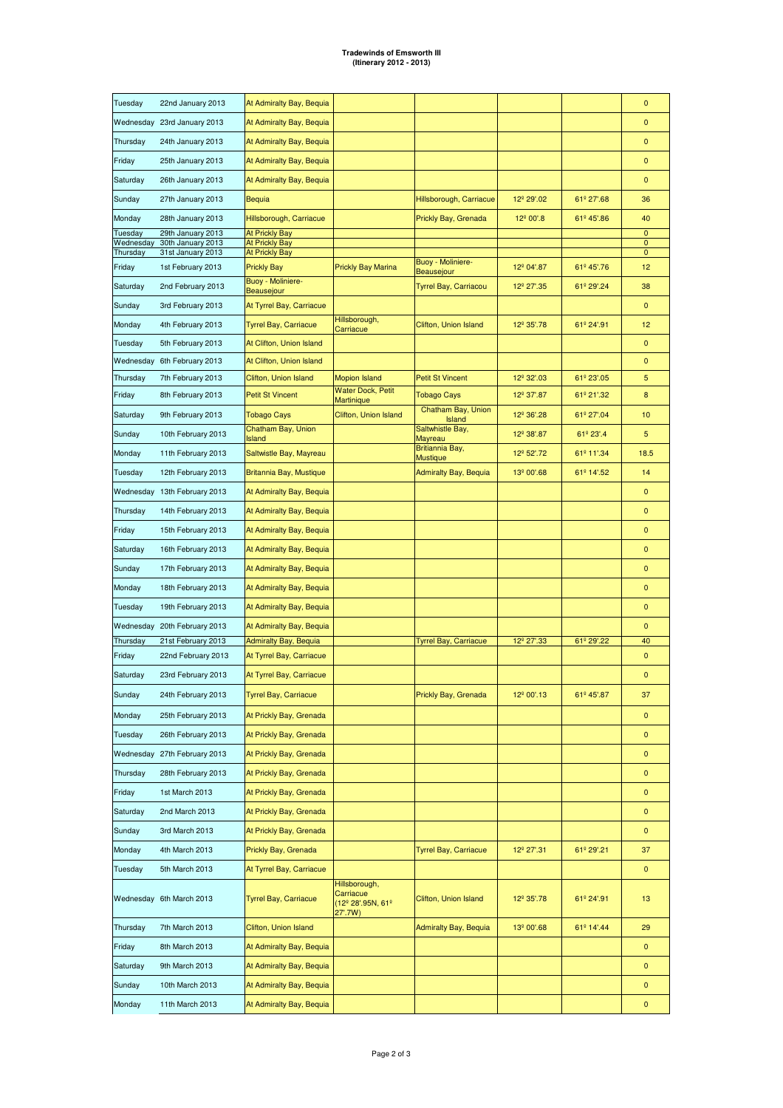| Tuesday               | 22nd January 2013                      | At Admiralty Bay, Bequia                |                                                            |                                        |                        |            | 0              |
|-----------------------|----------------------------------------|-----------------------------------------|------------------------------------------------------------|----------------------------------------|------------------------|------------|----------------|
|                       | Wednesday 23rd January 2013            | At Admiralty Bay, Bequia                |                                                            |                                        |                        |            | $\overline{0}$ |
| Thursday              | 24th January 2013                      | At Admiralty Bay, Bequia                |                                                            |                                        |                        |            | $\pmb{0}$      |
| Friday                | 25th January 2013                      | At Admiralty Bay, Bequia                |                                                            |                                        |                        |            | 0              |
| Saturday              | 26th January 2013                      | At Admiralty Bay, Bequia                |                                                            |                                        |                        |            | $\pmb{0}$      |
| Sunday                | 27th January 2013                      | <b>Bequia</b>                           |                                                            | Hillsborough, Carriacue                | 12º 29'.02             | 61º 27'.68 | 36             |
| Monday                | 28th January 2013                      | Hillsborough, Carriacue                 |                                                            | Prickly Bay, Grenada                   | 12 <sup>º</sup> 00'.8  | 61º 45'.86 | 40             |
| Tuesday               | 29th January 2013                      | <b>At Prickly Bay</b>                   |                                                            |                                        |                        |            | $\pmb{0}$      |
| Wednesday<br>Thursday | 30th January 2013<br>31st January 2013 | <b>At Prickly Bay</b><br>At Prickly Bay |                                                            |                                        |                        |            | 0<br>0         |
| Friday                | 1st February 2013                      | <b>Prickly Bay</b>                      | <b>Prickly Bay Marina</b>                                  | Buoy - Moliniere-<br><b>Beausejour</b> | 12º 04'.87             | 61º 45'.76 | 12             |
| Saturday              | 2nd February 2013                      | <b>Buoy - Moliniere-</b><br>Beausejour  |                                                            | <b>Tyrrel Bay, Carriacou</b>           | 12º 27'.35             | 61º 29'.24 | 38             |
| Sunday                | 3rd February 2013                      | At Tyrrel Bay, Carriacue                |                                                            |                                        |                        |            | $\mathbf 0$    |
| Monday                | 4th February 2013                      | <b>Tyrrel Bay, Carriacue</b>            | Hillsborough,<br>Carriacue                                 | Clifton, Union Island                  | 12 <sup>°</sup> 35'.78 | 61º 24'.91 | 12             |
| Tuesday               | 5th February 2013                      | At Clifton, Union Island                |                                                            |                                        |                        |            | 0              |
| Wednesday             | 6th February 2013                      | At Clifton, Union Island                |                                                            |                                        |                        |            | 0              |
| Thursday              | 7th February 2013                      | Clifton, Union Island                   | <b>Mopion Island</b>                                       | <b>Petit St Vincent</b>                | 12º 32'.03             | 61º 23'.05 | 5              |
| Friday                | 8th February 2013                      | <b>Petit St Vincent</b>                 | <b>Water Dock, Petit</b><br><b>Martinique</b>              | <b>Tobago Cays</b>                     | 12 <sup>º</sup> 37'.87 | 61º 21'.32 | 8              |
| Saturday              | 9th February 2013                      | <b>Tobago Cays</b>                      | Clifton, Union Island                                      | Chatham Bay, Union<br>Island           | 12 <sup>°</sup> 36'.28 | 61º 27'.04 | 10             |
| Sunday                | 10th February 2013                     | Chatham Bay, Union<br><b>Island</b>     |                                                            | Saltwhistle Bay,<br>Mayreau            | 12 <sup>º</sup> 38'.87 | 61º 23'.4  | 5              |
| Monday                | 11th February 2013                     | Saltwistle Bay, Mayreau                 |                                                            | Britiannia Bay,<br>Mustique            | 12 <sup>º</sup> 52'.72 | 61º 11'.34 | 18.5           |
| Tuesday               | 12th February 2013                     | Britannia Bay, Mustique                 |                                                            | <b>Admiralty Bay, Bequia</b>           | 13º 00'.68             | 61º 14'.52 | 14             |
|                       | Wednesday 13th February 2013           | At Admiralty Bay, Bequia                |                                                            |                                        |                        |            | $\mathbf 0$    |
| Thursday              | 14th February 2013                     | At Admiralty Bay, Bequia                |                                                            |                                        |                        |            | $\mathbf 0$    |
| Friday                | 15th February 2013                     | At Admiralty Bay, Bequia                |                                                            |                                        |                        |            | $\mathbf 0$    |
| Saturday              | 16th February 2013                     | At Admiralty Bay, Bequia                |                                                            |                                        |                        |            | 0              |
| Sunday                | 17th February 2013                     | At Admiralty Bay, Bequia                |                                                            |                                        |                        |            | 0              |
| Monday                | 18th February 2013                     | At Admiralty Bay, Bequia                |                                                            |                                        |                        |            | 0              |
| Tuesday               | 19th February 2013                     | At Admiralty Bay, Bequia                |                                                            |                                        |                        |            | $\mathbf{0}$   |
|                       | Wednesday 20th February 2013           | At Admiralty Bay, Bequia                |                                                            |                                        |                        |            | 0              |
| Thursday              | 21st February 2013                     | <b>Admiralty Bay, Bequia</b>            |                                                            | <b>Tyrrel Bay, Carriacue</b>           | 12 <sup>°</sup> 27'.33 | 61º 29'.22 | 40             |
| Friday                | 22nd February 2013                     | At Tyrrel Bay, Carriacue                |                                                            |                                        |                        |            | 0              |
| Saturday              | 23rd February 2013                     | At Tyrrel Bay, Carriacue                |                                                            |                                        |                        |            | 0              |
| Sunday                | 24th February 2013                     | <b>Tyrrel Bay, Carriacue</b>            |                                                            | Prickly Bay, Grenada                   | 12 <sup>º</sup> 00'.13 | 61º 45'.87 | 37             |
| Monday                | 25th February 2013                     | At Prickly Bay, Grenada                 |                                                            |                                        |                        |            | 0              |
| Tuesday               | 26th February 2013                     | At Prickly Bay, Grenada                 |                                                            |                                        |                        |            | 0              |
|                       | Wednesday 27th February 2013           | At Prickly Bay, Grenada                 |                                                            |                                        |                        |            | 0              |
| Thursday              | 28th February 2013                     | At Prickly Bay, Grenada                 |                                                            |                                        |                        |            | 0              |
| Friday                | 1st March 2013                         | At Prickly Bay, Grenada                 |                                                            |                                        |                        |            | 0              |
| Saturday              | 2nd March 2013                         | At Prickly Bay, Grenada                 |                                                            |                                        |                        |            | 0              |
| Sunday                | 3rd March 2013                         | At Prickly Bay, Grenada                 |                                                            |                                        |                        |            | $\mathbf 0$    |
| Monday                | 4th March 2013                         | Prickly Bay, Grenada                    |                                                            | Tyrrel Bay, Carriacue                  | 12 <sup>°</sup> 27'.31 | 61º 29'.21 | 37             |
| Tuesday               | 5th March 2013                         | At Tyrrel Bay, Carriacue                |                                                            |                                        |                        |            | 0              |
|                       | Wednesday 6th March 2013               | <b>Tyrrel Bay, Carriacue</b>            | Hillsborough,<br>Carriacue<br>(12º 28'.95N, 61º<br>27'.7W) | Clifton, Union Island                  | 12 <sup>°</sup> 35'.78 | 61º 24'.91 | 13             |
| Thursday              | 7th March 2013                         | Clifton, Union Island                   |                                                            | <b>Admiralty Bay, Bequia</b>           | 13º 00'.68             | 61º 14'.44 | 29             |
| Friday                | 8th March 2013                         | At Admiralty Bay, Bequia                |                                                            |                                        |                        |            | $\mathbf 0$    |
| Saturday              | 9th March 2013                         | At Admiralty Bay, Bequia                |                                                            |                                        |                        |            | $\mathbf 0$    |
| Sunday                | 10th March 2013                        | At Admiralty Bay, Bequia                |                                                            |                                        |                        |            | 0              |
| Monday                | 11th March 2013                        | At Admiralty Bay, Bequia                |                                                            |                                        |                        |            | 0              |